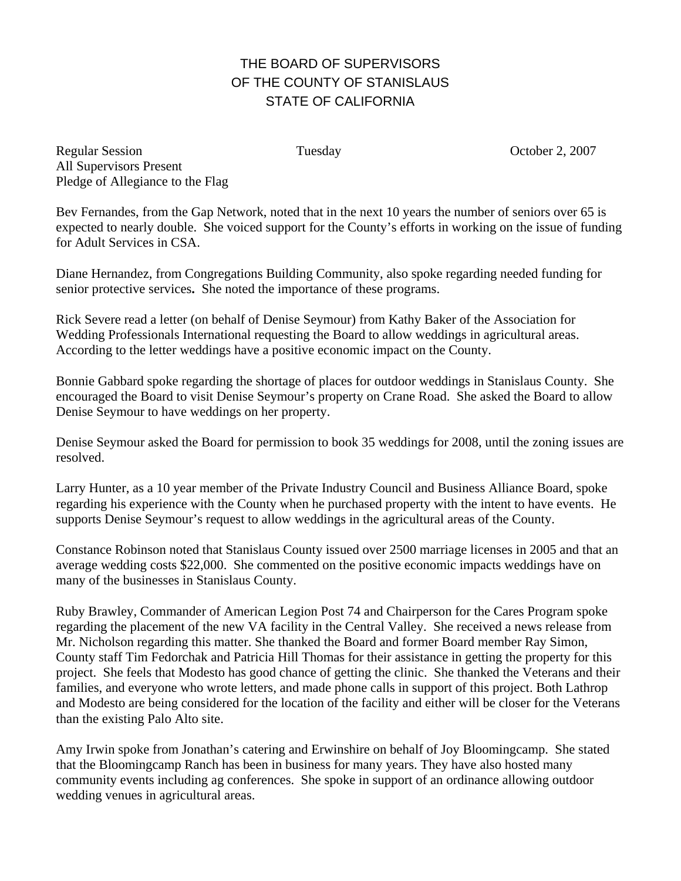## THE BOARD OF SUPERVISORS OF THE COUNTY OF STANISLAUS STATE OF CALIFORNIA

Regular Session Tuesday Tuesday October 2, 2007 All Supervisors Present Pledge of Allegiance to the Flag

Bev Fernandes, from the Gap Network, noted that in the next 10 years the number of seniors over 65 is expected to nearly double. She voiced support for the County's efforts in working on the issue of funding for Adult Services in CSA.

Diane Hernandez, from Congregations Building Community, also spoke regarding needed funding for senior protective services**.** She noted the importance of these programs.

Rick Severe read a letter (on behalf of Denise Seymour) from Kathy Baker of the Association for Wedding Professionals International requesting the Board to allow weddings in agricultural areas. According to the letter weddings have a positive economic impact on the County.

Bonnie Gabbard spoke regarding the shortage of places for outdoor weddings in Stanislaus County. She encouraged the Board to visit Denise Seymour's property on Crane Road. She asked the Board to allow Denise Seymour to have weddings on her property.

Denise Seymour asked the Board for permission to book 35 weddings for 2008, until the zoning issues are resolved.

Larry Hunter, as a 10 year member of the Private Industry Council and Business Alliance Board, spoke regarding his experience with the County when he purchased property with the intent to have events. He supports Denise Seymour's request to allow weddings in the agricultural areas of the County.

Constance Robinson noted that Stanislaus County issued over 2500 marriage licenses in 2005 and that an average wedding costs \$22,000. She commented on the positive economic impacts weddings have on many of the businesses in Stanislaus County.

Ruby Brawley, Commander of American Legion Post 74 and Chairperson for the Cares Program spoke regarding the placement of the new VA facility in the Central Valley. She received a news release from Mr. Nicholson regarding this matter. She thanked the Board and former Board member Ray Simon, County staff Tim Fedorchak and Patricia Hill Thomas for their assistance in getting the property for this project. She feels that Modesto has good chance of getting the clinic. She thanked the Veterans and their families, and everyone who wrote letters, and made phone calls in support of this project. Both Lathrop and Modesto are being considered for the location of the facility and either will be closer for the Veterans than the existing Palo Alto site.

Amy Irwin spoke from Jonathan's catering and Erwinshire on behalf of Joy Bloomingcamp. She stated that the Bloomingcamp Ranch has been in business for many years. They have also hosted many community events including ag conferences. She spoke in support of an ordinance allowing outdoor wedding venues in agricultural areas.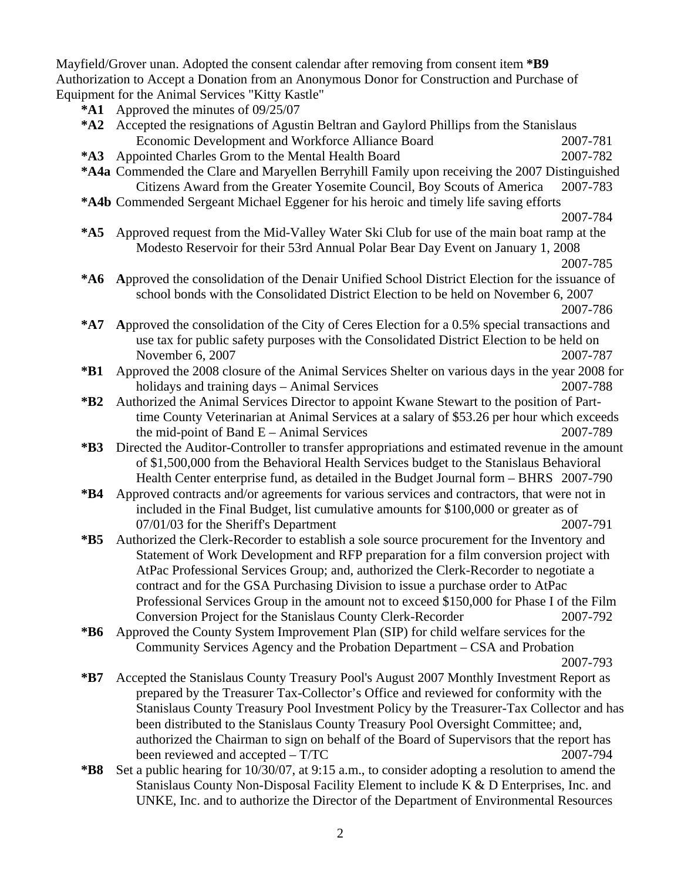Mayfield/Grover unan. Adopted the consent calendar after removing from consent item **\*B9**  Authorization to Accept a Donation from an Anonymous Donor for Construction and Purchase of Equipment for the Animal Services "Kitty Kastle"

**\*A1** Approved the minutes of 09/25/07

|             | $\Delta$ pproved the numerics of $07/23/07$                                                     |          |
|-------------|-------------------------------------------------------------------------------------------------|----------|
| $*$ A2      | Accepted the resignations of Agustin Beltran and Gaylord Phillips from the Stanislaus           |          |
|             | Economic Development and Workforce Alliance Board                                               | 2007-781 |
| $*A3$       | Appointed Charles Grom to the Mental Health Board                                               | 2007-782 |
|             | *A4a Commended the Clare and Maryellen Berryhill Family upon receiving the 2007 Distinguished   |          |
|             | Citizens Award from the Greater Yosemite Council, Boy Scouts of America                         | 2007-783 |
|             | *A4b Commended Sergeant Michael Eggener for his heroic and timely life saving efforts           |          |
|             |                                                                                                 | 2007-784 |
| $*$ A5      | Approved request from the Mid-Valley Water Ski Club for use of the main boat ramp at the        |          |
|             |                                                                                                 |          |
|             | Modesto Reservoir for their 53rd Annual Polar Bear Day Event on January 1, 2008                 |          |
|             |                                                                                                 | 2007-785 |
| $*$ A6      | Approved the consolidation of the Denair Unified School District Election for the issuance of   |          |
|             | school bonds with the Consolidated District Election to be held on November 6, 2007             |          |
|             |                                                                                                 | 2007-786 |
| $*$ A7      | Approved the consolidation of the City of Ceres Election for a 0.5% special transactions and    |          |
|             | use tax for public safety purposes with the Consolidated District Election to be held on        |          |
|             | November 6, 2007                                                                                | 2007-787 |
| $*B1$       | Approved the 2008 closure of the Animal Services Shelter on various days in the year 2008 for   |          |
|             | holidays and training days - Animal Services                                                    | 2007-788 |
| $*B2$       | Authorized the Animal Services Director to appoint Kwane Stewart to the position of Part-       |          |
|             | time County Veterinarian at Animal Services at a salary of \$53.26 per hour which exceeds       |          |
|             | the mid-point of Band $E -$ Animal Services                                                     | 2007-789 |
| $*B3$       | Directed the Auditor-Controller to transfer appropriations and estimated revenue in the amount  |          |
|             | of \$1,500,000 from the Behavioral Health Services budget to the Stanislaus Behavioral          |          |
|             | Health Center enterprise fund, as detailed in the Budget Journal form – BHRS 2007-790           |          |
| $*B4$       | Approved contracts and/or agreements for various services and contractors, that were not in     |          |
|             | included in the Final Budget, list cumulative amounts for \$100,000 or greater as of            |          |
|             | 07/01/03 for the Sheriff's Department                                                           | 2007-791 |
| $*B5$       | Authorized the Clerk-Recorder to establish a sole source procurement for the Inventory and      |          |
|             | Statement of Work Development and RFP preparation for a film conversion project with            |          |
|             | AtPac Professional Services Group; and, authorized the Clerk-Recorder to negotiate a            |          |
|             | contract and for the GSA Purchasing Division to issue a purchase order to AtPac                 |          |
|             | Professional Services Group in the amount not to exceed \$150,000 for Phase I of the Film       |          |
|             | Conversion Project for the Stanislaus County Clerk-Recorder                                     | 2007-792 |
| $*B6$       | Approved the County System Improvement Plan (SIP) for child welfare services for the            |          |
|             | Community Services Agency and the Probation Department - CSA and Probation                      |          |
|             |                                                                                                 | 2007-793 |
| $*{\bf B7}$ | Accepted the Stanislaus County Treasury Pool's August 2007 Monthly Investment Report as         |          |
|             | prepared by the Treasurer Tax-Collector's Office and reviewed for conformity with the           |          |
|             | Stanislaus County Treasury Pool Investment Policy by the Treasurer-Tax Collector and has        |          |
|             | been distributed to the Stanislaus County Treasury Pool Oversight Committee; and,               |          |
|             | authorized the Chairman to sign on behalf of the Board of Supervisors that the report has       |          |
|             | been reviewed and accepted - T/TC                                                               | 2007-794 |
| $*B8$       | Set a public hearing for 10/30/07, at 9:15 a.m., to consider adopting a resolution to amend the |          |
|             | Stanislaus County Non-Disposal Facility Element to include K & D Enterprises, Inc. and          |          |

UNKE, Inc. and to authorize the Director of the Department of Environmental Resources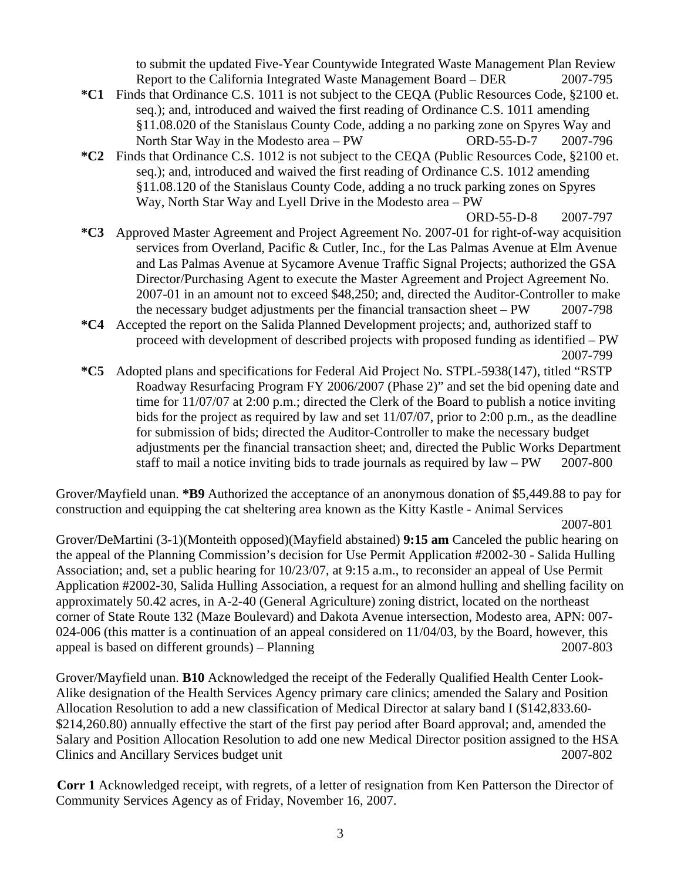to submit the updated Five-Year Countywide Integrated Waste Management Plan Review Report to the California Integrated Waste Management Board – DER 2007-795

- **\*C1** Finds that Ordinance C.S. 1011 is not subject to the CEQA (Public Resources Code, §2100 et. seq.); and, introduced and waived the first reading of Ordinance C.S. 1011 amending §11.08.020 of the Stanislaus County Code, adding a no parking zone on Spyres Way and North Star Way in the Modesto area – PW ORD-55-D-7 2007-796
- **\*C2** Finds that Ordinance C.S. 1012 is not subject to the CEQA (Public Resources Code, §2100 et. seq.); and, introduced and waived the first reading of Ordinance C.S. 1012 amending §11.08.120 of the Stanislaus County Code, adding a no truck parking zones on Spyres Way, North Star Way and Lyell Drive in the Modesto area – PW

ORD-55-D-8 2007-797

- **\*C3** Approved Master Agreement and Project Agreement No. 2007-01 for right-of-way acquisition services from Overland, Pacific & Cutler, Inc., for the Las Palmas Avenue at Elm Avenue and Las Palmas Avenue at Sycamore Avenue Traffic Signal Projects; authorized the GSA Director/Purchasing Agent to execute the Master Agreement and Project Agreement No. 2007-01 in an amount not to exceed \$48,250; and, directed the Auditor-Controller to make the necessary budget adjustments per the financial transaction sheet – PW 2007-798
- **\*C4** Accepted the report on the Salida Planned Development projects; and, authorized staff to proceed with development of described projects with proposed funding as identified – PW 2007-799
- **\*C5** Adopted plans and specifications for Federal Aid Project No. STPL-5938(147), titled "RSTP Roadway Resurfacing Program FY 2006/2007 (Phase 2)" and set the bid opening date and time for 11/07/07 at 2:00 p.m.; directed the Clerk of the Board to publish a notice inviting bids for the project as required by law and set 11/07/07, prior to 2:00 p.m., as the deadline for submission of bids; directed the Auditor-Controller to make the necessary budget adjustments per the financial transaction sheet; and, directed the Public Works Department staff to mail a notice inviting bids to trade journals as required by  $law - PW$  2007-800

Grover/Mayfield unan. **\*B9** Authorized the acceptance of an anonymous donation of \$5,449.88 to pay for construction and equipping the cat sheltering area known as the Kitty Kastle - Animal Services

2007-801

Grover/DeMartini (3-1)(Monteith opposed)(Mayfield abstained) **9:15 am** Canceled the public hearing on the appeal of the Planning Commission's decision for Use Permit Application #2002-30 - Salida Hulling Association; and, set a public hearing for 10/23/07, at 9:15 a.m., to reconsider an appeal of Use Permit Application #2002-30, Salida Hulling Association, a request for an almond hulling and shelling facility on approximately 50.42 acres, in A-2-40 (General Agriculture) zoning district, located on the northeast corner of State Route 132 (Maze Boulevard) and Dakota Avenue intersection, Modesto area, APN: 007- 024-006 (this matter is a continuation of an appeal considered on 11/04/03, by the Board, however, this appeal is based on different grounds) – Planning 2007-803

Grover/Mayfield unan. **B10** Acknowledged the receipt of the Federally Qualified Health Center Look-Alike designation of the Health Services Agency primary care clinics; amended the Salary and Position Allocation Resolution to add a new classification of Medical Director at salary band I (\$142,833.60- \$214,260.80) annually effective the start of the first pay period after Board approval; and, amended the Salary and Position Allocation Resolution to add one new Medical Director position assigned to the HSA Clinics and Ancillary Services budget unit 2007-802

**Corr 1** Acknowledged receipt, with regrets, of a letter of resignation from Ken Patterson the Director of Community Services Agency as of Friday, November 16, 2007.